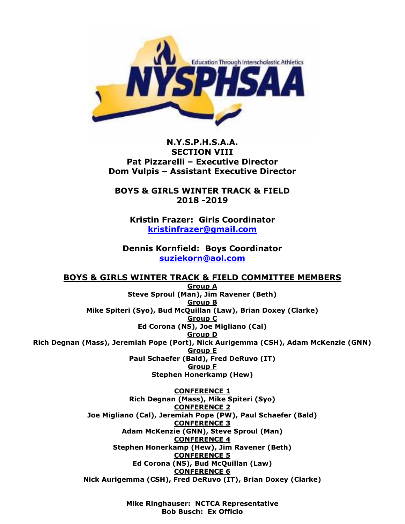

## **N.Y.S.P.H.S.A.A. SECTION VIII Pat Pizzarelli – Executive Director Dom Vulpis – Assistant Executive Director**

**BOYS & GIRLS WINTER TRACK & FIELD 2018 -2019**

**Kristin Frazer: Girls Coordinator [kristinfrazer@gmail.com](mailto:kristinfrazer@gmail.com)**

**Dennis Kornfield: Boys Coordinator [suziekorn@aol.com](mailto:suziekorn@aol.com)**

**BOYS & GIRLS WINTER TRACK & FIELD COMMITTEE MEMBERS**

**Group A Steve Sproul (Man), Jim Ravener (Beth) Group B Mike Spiteri (Syo), Bud McQuillan (Law), Brian Doxey (Clarke) Group C Ed Corona (NS), Joe Migliano (Cal) Group D Rich Degnan (Mass), Jeremiah Pope (Port), Nick Aurigemma (CSH), Adam McKenzie (GNN) Group E Paul Schaefer (Bald), Fred DeRuvo (IT) Group F Stephen Honerkamp (Hew)**

> **CONFERENCE 1 Rich Degnan (Mass), Mike Spiteri (Syo) CONFERENCE 2 Joe Migliano (Cal), Jeremiah Pope (PW), Paul Schaefer (Bald) CONFERENCE 3 Adam McKenzie (GNN), Steve Sproul (Man) CONFERENCE 4 Stephen Honerkamp (Hew), Jim Ravener (Beth) CONFERENCE 5 Ed Corona (NS), Bud McQuillan (Law) CONFERENCE 6 Nick Aurigemma (CSH), Fred DeRuvo (IT), Brian Doxey (Clarke)**

> > **Mike Ringhauser: NCTCA Representative Bob Busch: Ex Officio**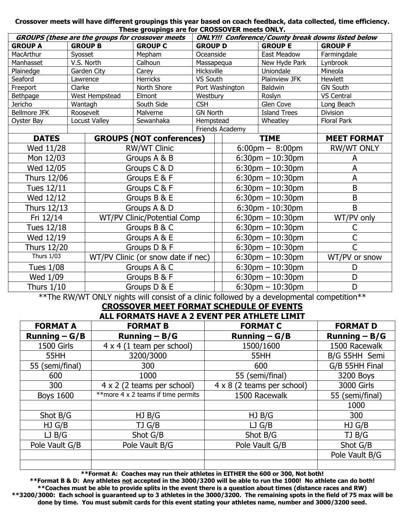#### **Crossover meets will have different groupings this year based on coach feedback, data collected, time efficiency. These groupings are for CROSSOVER meets ONLY.**

| GROUPS (these are the groups for crossover meets |         |                                    |                                 |                 | <b>ONLY!!! Conference/County break downs listed below</b> |                                    |                                   |                    |
|--------------------------------------------------|---------|------------------------------------|---------------------------------|-----------------|-----------------------------------------------------------|------------------------------------|-----------------------------------|--------------------|
| <b>GROUP B</b><br><b>GROUP A</b>                 |         | <b>GROUP C</b>                     | <b>GROUP D</b>                  |                 |                                                           | <b>GROUP E</b>                     | <b>GROUP F</b>                    |                    |
| MacArthur                                        | Syosset |                                    | Mepham                          | Oceanside       |                                                           |                                    | <b>East Meadow</b>                | Farmingdale        |
| Manhasset                                        |         | V.S. North                         | Calhoun                         | Massapequa      |                                                           |                                    | New Hyde Park                     | Lynbrook           |
| Plainedge                                        |         | Garden City                        | Carey                           | Hicksville      |                                                           |                                    | Uniondale                         | Mineola            |
| Seaford                                          |         | Lawrence                           | <b>Herricks</b>                 | VS South        |                                                           |                                    | Plainview JFK                     | Hewlett            |
| Freeport                                         | Clarke  |                                    | North Shore                     |                 |                                                           | Port Washington                    | <b>Baldwin</b>                    | <b>GN South</b>    |
| Bethpage                                         |         | West Hempstead                     | Elmont                          | Westbury        |                                                           |                                    | Roslyn                            | VS Central         |
| Jericho                                          | Wantagh |                                    | South Side                      | <b>CSH</b>      |                                                           |                                    | Glen Cove                         | Long Beach         |
| <b>Bellmore JFK</b>                              |         | Roosevelt                          | Malverne                        | <b>GN North</b> |                                                           |                                    | <b>Island Trees</b>               | <b>Division</b>    |
| Oyster Bay                                       |         | Locust Valley                      | Sewanhaka                       | Hempstead       |                                                           |                                    | Wheatley                          | <b>Floral Park</b> |
|                                                  |         |                                    |                                 |                 |                                                           | Friends Academy                    |                                   |                    |
| <b>DATES</b>                                     |         |                                    | <b>GROUPS (NOT conferences)</b> |                 |                                                           |                                    | <b>TIME</b>                       | <b>MEET FORMAT</b> |
| Wed 11/28                                        |         |                                    | <b>RW/WT Clinic</b>             |                 |                                                           |                                    | $6:00 \text{pm} - 8:00 \text{pm}$ | <b>RW/WT ONLY</b>  |
| Mon 12/03                                        |         |                                    | Groups A & B                    |                 |                                                           | $6:30$ pm $-10:30$ pm              |                                   | A                  |
| Wed 12/05                                        |         |                                    | Groups C & D                    |                 |                                                           |                                    | $6:30$ pm $-10:30$ pm             | A                  |
| Thurs 12/06                                      |         |                                    | Groups E & F                    |                 |                                                           |                                    | $6:30$ pm $-10:30$ pm             | A                  |
| <b>Tues 12/11</b>                                |         |                                    | Groups C & F                    |                 |                                                           |                                    | $6:30$ pm $-10:30$ pm             | B                  |
| Wed 12/12                                        |         |                                    | Groups B & E                    |                 |                                                           |                                    | $6:30$ pm $-10:30$ pm             | B                  |
| Thurs 12/13                                      |         |                                    | Groups A & D                    |                 |                                                           | $6:30$ pm - 10:30pm                |                                   | B                  |
| Fri 12/14                                        |         | WT/PV Clinic/Potential Comp        |                                 |                 |                                                           | $6:30$ pm $-10:30$ pm              | WT/PV only                        |                    |
| Tues 12/18                                       |         | Groups B & C                       |                                 |                 | $6:30$ pm $-10:30$ pm                                     |                                    | С                                 |                    |
| Wed 12/19                                        |         | Groups A & E                       |                                 |                 | $6:30$ pm $-10:30$ pm                                     |                                    | C                                 |                    |
| Thurs 12/20                                      |         | Groups D & F                       |                                 |                 |                                                           | $6:30$ pm $-10:30$ pm              |                                   | Ć                  |
| <b>Thurs 1/03</b>                                |         | WT/PV Clinic (or snow date if nec) |                                 |                 |                                                           | $6:30$ pm $-10:30$ pm              |                                   | WT/PV or snow      |
| <b>Tues 1/08</b>                                 |         | Groups A & C                       |                                 |                 |                                                           | $6:30 \text{pm} - 10:30 \text{pm}$ |                                   | D                  |
| Wed 1/09                                         |         |                                    | Groups B & F                    |                 |                                                           | $6:30$ pm $-10:30$ pm              |                                   | D                  |
| <b>Thurs 1/10</b>                                |         |                                    | Groups D & E                    |                 |                                                           |                                    | $6:30$ pm $-10:30$ pm             | D                  |

\*\*The RW/WT ONLY nights will consist of a clinic followed by a developmental competition\*\*

# **CROSSOVER MEET FORMAT SCHEDULE OF EVENTS**

| ALL FORMATS HAVE A 2 EVENT PER ATHLETE LIMIT |                                     |                                   |                   |  |  |  |
|----------------------------------------------|-------------------------------------|-----------------------------------|-------------------|--|--|--|
| <b>FORMAT A</b>                              | <b>FORMAT B</b>                     | <b>FORMAT C</b>                   | <b>FORMAT D</b>   |  |  |  |
| Running $-G/B$                               | Running $- B/G$                     | Running $-G/B$                    | Running $- B/G$   |  |  |  |
| <b>1500 Girls</b>                            | $4 \times 4$ (1 team per school)    | 1500/1600                         | 1500 Racewalk     |  |  |  |
| 55HH                                         | 3200/3000                           | 55HH                              | B/G 55HH Semi     |  |  |  |
| 55 (semi/final)                              | 300                                 | 600                               | G/B 55HH Final    |  |  |  |
| 600                                          | 1000                                | 55 (semi/final)                   | 3200 Boys         |  |  |  |
| 300                                          | $4 \times 2$ (2 teams per school)   | $4 \times 8$ (2 teams per school) | <b>3000 Girls</b> |  |  |  |
| <b>Boys 1600</b>                             | ** more 4 x 2 teams if time permits | 1500 Racewalk                     | 55 (semi/final)   |  |  |  |
|                                              |                                     |                                   | 1000              |  |  |  |
| Shot B/G                                     | HJB/G                               | HJ B/G                            | 300               |  |  |  |
| $HJ$ $G/B$                                   | TJ G/B                              | $LJ$ G/B                          | $HJ$ $G/B$        |  |  |  |
| LJ B/G                                       | Shot G/B                            | Shot B/G                          | TJ B/G            |  |  |  |
| Pole Vault G/B                               | Pole Vault B/G                      | Pole Vault G/B                    | Shot G/B          |  |  |  |
|                                              |                                     |                                   | Pole Vault B/G    |  |  |  |
|                                              |                                     |                                   |                   |  |  |  |

**\*\*Format A: Coaches may run their athletes in EITHER the 600 or 300, Not both!**

**\*\*Format B & D: Any athletes not accepted in the 3000/3200 will be able to run the 1000! No athlete can do both! \*\*Coaches must be able to provide splits in the event there is a question about times (distance races and RW) \*\*3200/3000: Each school is guaranteed up to 3 athletes in the 3000/3200. The remaining spots in the field of 75 max will be done by time. You must submit cards for this event stating your athletes name, number and 3000/3200 seed.**